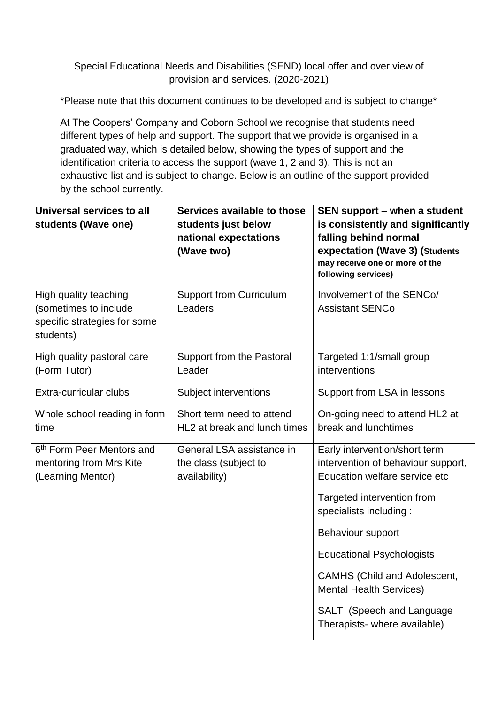#### Special Educational Needs and Disabilities (SEND) local offer and over view of provision and services. (2020-2021)

\*Please note that this document continues to be developed and is subject to change\*

At The Coopers' Company and Coborn School we recognise that students need different types of help and support. The support that we provide is organised in a graduated way, which is detailed below, showing the types of support and the identification criteria to access the support (wave 1, 2 and 3). This is not an exhaustive list and is subject to change. Below is an outline of the support provided by the school currently.

| Universal services to all             | Services available to those    | SEN support - when a student                              |  |
|---------------------------------------|--------------------------------|-----------------------------------------------------------|--|
| students (Wave one)                   | students just below            | is consistently and significantly                         |  |
|                                       | national expectations          | falling behind normal                                     |  |
|                                       | (Wave two)                     | expectation (Wave 3) (Students                            |  |
|                                       |                                | may receive one or more of the<br>following services)     |  |
|                                       |                                |                                                           |  |
| High quality teaching                 | <b>Support from Curriculum</b> | Involvement of the SENCo/                                 |  |
| (sometimes to include                 | Leaders                        | <b>Assistant SENCo</b>                                    |  |
| specific strategies for some          |                                |                                                           |  |
| students)                             |                                |                                                           |  |
| High quality pastoral care            | Support from the Pastoral      | Targeted 1:1/small group                                  |  |
| (Form Tutor)                          | Leader                         | interventions                                             |  |
|                                       |                                |                                                           |  |
| Extra-curricular clubs                | Subject interventions          | Support from LSA in lessons                               |  |
| Whole school reading in form          | Short term need to attend      | On-going need to attend HL2 at                            |  |
| time                                  | HL2 at break and lunch times   | break and lunchtimes                                      |  |
| 6 <sup>th</sup> Form Peer Mentors and | General LSA assistance in      | Early intervention/short term                             |  |
| mentoring from Mrs Kite               | the class (subject to          | intervention of behaviour support,                        |  |
| (Learning Mentor)                     | availability)                  | Education welfare service etc                             |  |
|                                       |                                | Targeted intervention from                                |  |
|                                       |                                | specialists including :                                   |  |
|                                       |                                | Behaviour support                                         |  |
|                                       |                                | <b>Educational Psychologists</b>                          |  |
|                                       |                                | <b>CAMHS (Child and Adolescent,</b>                       |  |
|                                       |                                | <b>Mental Health Services)</b>                            |  |
|                                       |                                | SALT (Speech and Language<br>Therapists- where available) |  |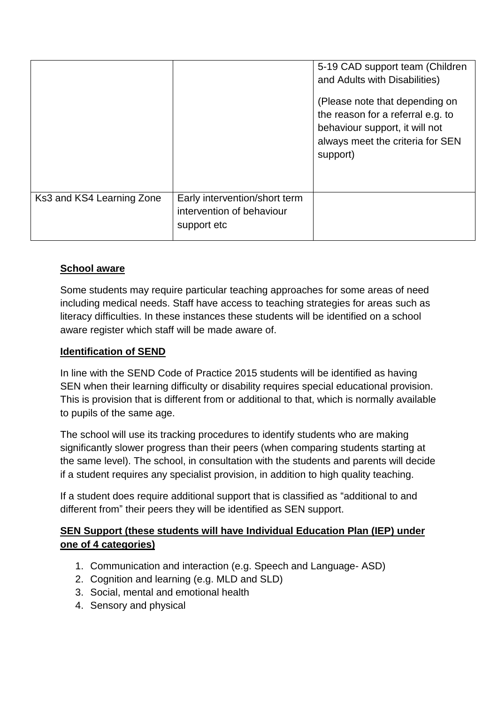|                           |                                                                           | 5-19 CAD support team (Children<br>and Adults with Disabilities)<br>(Please note that depending on<br>the reason for a referral e.g. to<br>behaviour support, it will not<br>always meet the criteria for SEN<br>support) |
|---------------------------|---------------------------------------------------------------------------|---------------------------------------------------------------------------------------------------------------------------------------------------------------------------------------------------------------------------|
| Ks3 and KS4 Learning Zone | Early intervention/short term<br>intervention of behaviour<br>support etc |                                                                                                                                                                                                                           |

# **School aware**

Some students may require particular teaching approaches for some areas of need including medical needs. Staff have access to teaching strategies for areas such as literacy difficulties. In these instances these students will be identified on a school aware register which staff will be made aware of.

#### **Identification of SEND**

In line with the SEND Code of Practice 2015 students will be identified as having SEN when their learning difficulty or disability requires special educational provision. This is provision that is different from or additional to that, which is normally available to pupils of the same age.

The school will use its tracking procedures to identify students who are making significantly slower progress than their peers (when comparing students starting at the same level). The school, in consultation with the students and parents will decide if a student requires any specialist provision, in addition to high quality teaching.

If a student does require additional support that is classified as "additional to and different from" their peers they will be identified as SEN support.

# **SEN Support (these students will have Individual Education Plan (IEP) under one of 4 categories)**

- 1. Communication and interaction (e.g. Speech and Language- ASD)
- 2. Cognition and learning (e.g. MLD and SLD)
- 3. Social, mental and emotional health
- 4. Sensory and physical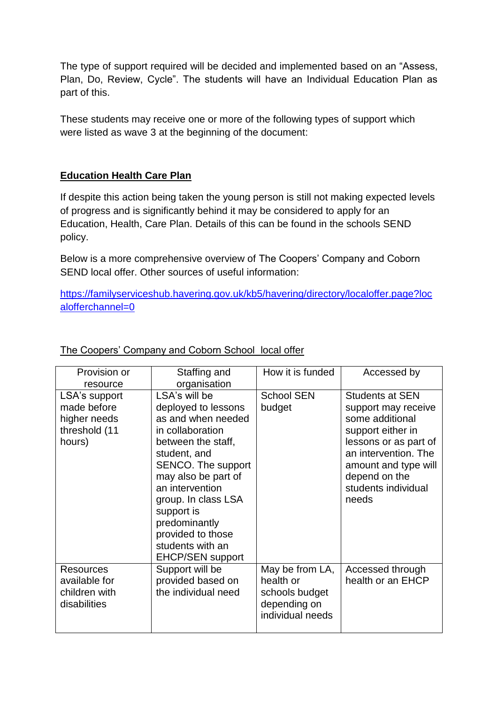The type of support required will be decided and implemented based on an "Assess, Plan, Do, Review, Cycle". The students will have an Individual Education Plan as part of this.

These students may receive one or more of the following types of support which were listed as wave 3 at the beginning of the document:

#### **Education Health Care Plan**

If despite this action being taken the young person is still not making expected levels of progress and is significantly behind it may be considered to apply for an Education, Health, Care Plan. Details of this can be found in the schools SEND policy.

Below is a more comprehensive overview of The Coopers' Company and Coborn SEND local offer. Other sources of useful information:

[https://familyserviceshub.havering.gov.uk/kb5/havering/directory/localoffer.page?loc](https://familyserviceshub.havering.gov.uk/kb5/havering/directory/localoffer.page?localofferchannel=0) [alofferchannel=0](https://familyserviceshub.havering.gov.uk/kb5/havering/directory/localoffer.page?localofferchannel=0)

| Provision or     | Staffing and            | How it is funded  | Accessed by            |
|------------------|-------------------------|-------------------|------------------------|
| resource         | organisation            |                   |                        |
| LSA's support    | LSA's will be           | <b>School SEN</b> | <b>Students at SEN</b> |
| made before      | deployed to lessons     | budget            | support may receive    |
| higher needs     | as and when needed      |                   | some additional        |
| threshold (11    | in collaboration        |                   | support either in      |
| hours)           | between the staff,      |                   | lessons or as part of  |
|                  | student, and            |                   | an intervention. The   |
|                  | SENCO. The support      |                   | amount and type will   |
|                  | may also be part of     |                   | depend on the          |
|                  | an intervention         |                   | students individual    |
|                  |                         |                   | needs                  |
|                  | group. In class LSA     |                   |                        |
|                  | support is              |                   |                        |
|                  | predominantly           |                   |                        |
|                  | provided to those       |                   |                        |
|                  | students with an        |                   |                        |
|                  | <b>EHCP/SEN support</b> |                   |                        |
| <b>Resources</b> | Support will be         | May be from LA,   | Accessed through       |
| available for    | provided based on       | health or         | health or an EHCP      |
| children with    | the individual need     | schools budget    |                        |
| disabilities     |                         | depending on      |                        |
|                  |                         | individual needs  |                        |
|                  |                         |                   |                        |

# The Coopers' Company and Coborn School local offer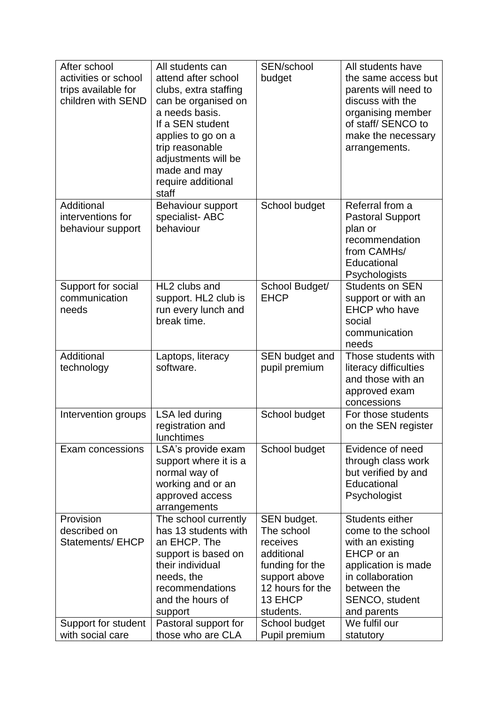| After school                            | All students can                          | SEN/school                     | All students have                          |
|-----------------------------------------|-------------------------------------------|--------------------------------|--------------------------------------------|
| activities or school                    | attend after school                       | budget                         | the same access but                        |
| trips available for                     | clubs, extra staffing                     |                                | parents will need to                       |
| children with SEND                      | can be organised on                       |                                | discuss with the                           |
|                                         | a needs basis.                            |                                | organising member                          |
|                                         | If a SEN student                          |                                | of staff/ SENCO to                         |
|                                         | applies to go on a                        |                                | make the necessary                         |
|                                         | trip reasonable                           |                                | arrangements.                              |
|                                         | adjustments will be                       |                                |                                            |
|                                         | made and may                              |                                |                                            |
|                                         | require additional                        |                                |                                            |
|                                         | staff                                     |                                |                                            |
| Additional                              | Behaviour support                         | School budget                  | Referral from a                            |
| interventions for                       | specialist-ABC                            |                                | <b>Pastoral Support</b>                    |
| behaviour support                       | behaviour                                 |                                | plan or                                    |
|                                         |                                           |                                | recommendation                             |
|                                         |                                           |                                | from CAMHs/                                |
|                                         |                                           |                                | Educational                                |
|                                         |                                           |                                | Psychologists                              |
| Support for social                      | HL2 clubs and                             | School Budget/                 | <b>Students on SEN</b>                     |
| communication                           | support. HL2 club is                      | <b>EHCP</b>                    | support or with an                         |
| needs                                   | run every lunch and                       |                                | <b>EHCP</b> who have                       |
|                                         | break time.                               |                                | social                                     |
|                                         |                                           |                                | communication                              |
|                                         |                                           |                                | needs                                      |
| Additional                              |                                           | SEN budget and                 | Those students with                        |
|                                         |                                           |                                |                                            |
| technology                              | Laptops, literacy<br>software.            | pupil premium                  |                                            |
|                                         |                                           |                                | literacy difficulties<br>and those with an |
|                                         |                                           |                                | approved exam                              |
|                                         |                                           |                                | concessions                                |
| Intervention groups                     | LSA led during                            | School budget                  | For those students                         |
|                                         | registration and                          |                                | on the SEN register                        |
|                                         | lunchtimes                                |                                |                                            |
| Exam concessions                        | LSA's provide exam                        | School budget                  | Evidence of need                           |
|                                         | support where it is a                     |                                | through class work                         |
|                                         | normal way of                             |                                | but verified by and                        |
|                                         | working and or an                         |                                | Educational                                |
|                                         | approved access                           |                                | Psychologist                               |
|                                         | arrangements                              |                                |                                            |
| Provision                               | The school currently                      | SEN budget.                    | Students either                            |
| described on                            | has 13 students with                      | The school                     | come to the school                         |
| <b>Statements/ EHCP</b>                 | an EHCP. The                              | receives                       | with an existing                           |
|                                         | support is based on                       | additional                     | EHCP or an                                 |
|                                         | their individual                          | funding for the                | application is made                        |
|                                         | needs, the                                | support above                  | in collaboration                           |
|                                         | recommendations                           | 12 hours for the               | between the                                |
|                                         | and the hours of                          | 13 EHCP                        | SENCO, student                             |
|                                         | support                                   | students.                      | and parents                                |
| Support for student<br>with social care | Pastoral support for<br>those who are CLA | School budget<br>Pupil premium | We fulfil our<br>statutory                 |